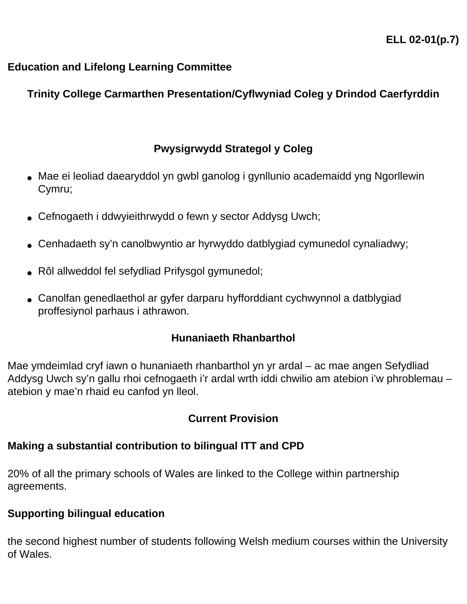### **Education and Lifelong Learning Committee**

# **Trinity College Carmarthen Presentation/Cyflwyniad Coleg y Drindod Caerfyrddin**

# **Pwysigrwydd Strategol y Coleg**

- Mae ei leoliad daearyddol yn gwbl ganolog i gynllunio academaidd yng Ngorllewin Cymru;
- Cefnogaeth i ddwyieithrwydd o fewn y sector Addysg Uwch;
- Cenhadaeth sy'n canolbwyntio ar hyrwyddo datblygiad cymunedol cynaliadwy;
- Rôl allweddol fel sefydliad Prifysgol gymunedol;
- Canolfan genedlaethol ar gyfer darparu hyfforddiant cychwynnol a datblygiad proffesiynol parhaus i athrawon.

## **Hunaniaeth Rhanbarthol**

Mae ymdeimlad cryf iawn o hunaniaeth rhanbarthol yn yr ardal – ac mae angen Sefydliad Addysg Uwch sy'n gallu rhoi cefnogaeth i'r ardal wrth iddi chwilio am atebion i'w phroblemau – atebion y mae'n rhaid eu canfod yn lleol.

## **Current Provision**

## **Making a substantial contribution to bilingual ITT and CPD**

20% of all the primary schools of Wales are linked to the College within partnership agreements.

## **Supporting bilingual education**

the second highest number of students following Welsh medium courses within the University of Wales.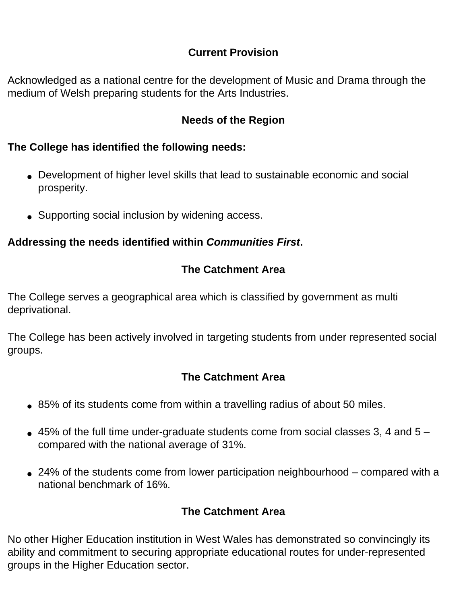## **Current Provision**

Acknowledged as a national centre for the development of Music and Drama through the medium of Welsh preparing students for the Arts Industries.

#### **Needs of the Region**

#### **The College has identified the following needs:**

- Development of higher level skills that lead to sustainable economic and social prosperity.
- Supporting social inclusion by widening access.

### **Addressing the needs identified within** *Communities First***.**

# **The Catchment Area**

The College serves a geographical area which is classified by government as multi deprivational.

The College has been actively involved in targeting students from under represented social groups.

## **The Catchment Area**

- 85% of its students come from within a travelling radius of about 50 miles.
- $\bullet$  45% of the full time under-graduate students come from social classes 3, 4 and 5 compared with the national average of 31%.
- $\bullet$  24% of the students come from lower participation neighbourhood compared with a national benchmark of 16%.

## **The Catchment Area**

No other Higher Education institution in West Wales has demonstrated so convincingly its ability and commitment to securing appropriate educational routes for under-represented groups in the Higher Education sector.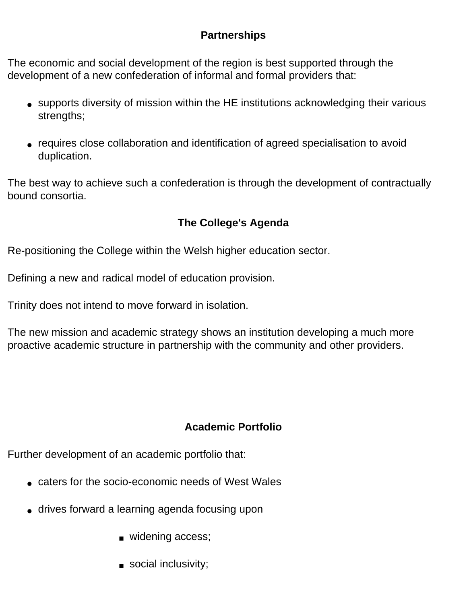### **Partnerships**

The economic and social development of the region is best supported through the development of a new confederation of informal and formal providers that:

- supports diversity of mission within the HE institutions acknowledging their various strengths;
- requires close collaboration and identification of agreed specialisation to avoid duplication.

The best way to achieve such a confederation is through the development of contractually bound consortia.

# **The College's Agenda**

Re-positioning the College within the Welsh higher education sector.

Defining a new and radical model of education provision.

Trinity does not intend to move forward in isolation.

The new mission and academic strategy shows an institution developing a much more proactive academic structure in partnership with the community and other providers.

# **Academic Portfolio**

Further development of an academic portfolio that:

- caters for the socio-economic needs of West Wales
- drives forward a learning agenda focusing upon
	- widening access;
	- social inclusivity;